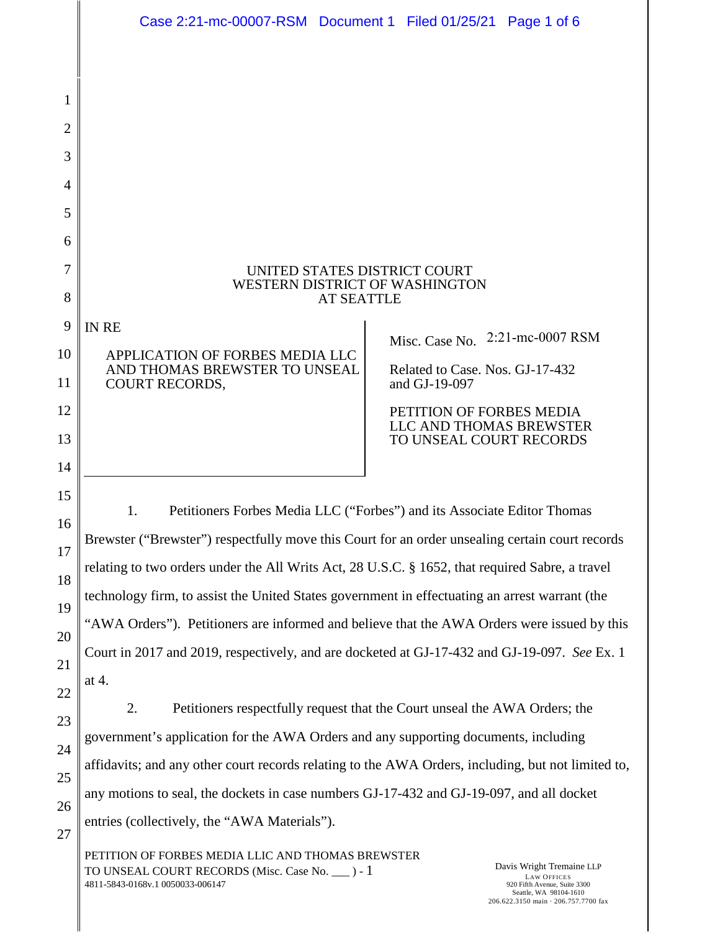|                | Case 2:21-mc-00007-RSM Document 1 Filed 01/25/21 Page 1 of 6                                                                                              |  |                                                    |                  |  |
|----------------|-----------------------------------------------------------------------------------------------------------------------------------------------------------|--|----------------------------------------------------|------------------|--|
|                |                                                                                                                                                           |  |                                                    |                  |  |
| 1              |                                                                                                                                                           |  |                                                    |                  |  |
| $\overline{2}$ |                                                                                                                                                           |  |                                                    |                  |  |
| 3              |                                                                                                                                                           |  |                                                    |                  |  |
| 4              |                                                                                                                                                           |  |                                                    |                  |  |
| 5              |                                                                                                                                                           |  |                                                    |                  |  |
| 6              |                                                                                                                                                           |  |                                                    |                  |  |
| 7              | UNITED STATES DISTRICT COURT                                                                                                                              |  |                                                    |                  |  |
| 8              | WESTERN DISTRICT OF WASHINGTON<br><b>AT SEATTLE</b>                                                                                                       |  |                                                    |                  |  |
| 9              | <b>IN RE</b>                                                                                                                                              |  |                                                    | 2:21-mc-0007 RSM |  |
| 10             | APPLICATION OF FORBES MEDIA LLC                                                                                                                           |  | Misc. Case No.                                     |                  |  |
| 11             | AND THOMAS BREWSTER TO UNSEAL<br><b>COURT RECORDS,</b>                                                                                                    |  | Related to Case. Nos. GJ-17-432<br>and GJ-19-097   |                  |  |
| 12             |                                                                                                                                                           |  | PETITION OF FORBES MEDIA                           |                  |  |
| 13             |                                                                                                                                                           |  | LLC AND THOMAS BREWSTER<br>TO UNSEAL COURT RECORDS |                  |  |
| 14             |                                                                                                                                                           |  |                                                    |                  |  |
| 15             | Petitioners Forbes Media LLC ("Forbes") and its Associate Editor Thomas<br>1.                                                                             |  |                                                    |                  |  |
| 16             | Brewster ("Brewster") respectfully move this Court for an order unsealing certain court records                                                           |  |                                                    |                  |  |
| 17             | relating to two orders under the All Writs Act, 28 U.S.C. § 1652, that required Sabre, a travel                                                           |  |                                                    |                  |  |
| 18             | technology firm, to assist the United States government in effectuating an arrest warrant (the                                                            |  |                                                    |                  |  |
| 19             | "AWA Orders"). Petitioners are informed and believe that the AWA Orders were issued by this                                                               |  |                                                    |                  |  |
| 20<br>21       | Court in 2017 and 2019, respectively, and are docketed at GJ-17-432 and GJ-19-097. See Ex. 1                                                              |  |                                                    |                  |  |
| 22             | at 4.                                                                                                                                                     |  |                                                    |                  |  |
| 23             | Petitioners respectfully request that the Court unseal the AWA Orders; the<br>2.                                                                          |  |                                                    |                  |  |
| 24             | government's application for the AWA Orders and any supporting documents, including                                                                       |  |                                                    |                  |  |
| 25             | affidavits; and any other court records relating to the AWA Orders, including, but not limited to,                                                        |  |                                                    |                  |  |
| 26             | any motions to seal, the dockets in case numbers GJ-17-432 and GJ-19-097, and all docket                                                                  |  |                                                    |                  |  |
| 27             | entries (collectively, the "AWA Materials").                                                                                                              |  |                                                    |                  |  |
|                | PETITION OF FORBES MEDIA LLIC AND THOMAS BREWSTER<br>Davis Wright Tremaine LLP<br>TO UNSEAL COURT RECORDS (Misc. Case No. ___ ) - 1<br><b>LAW OFFICES</b> |  |                                                    |                  |  |

4811-5843-0168v.1 0050033-006147

LAW OFFICES 920 Fifth Avenue, Suite 3300 Seattle, WA 98104-1610 206.622.3150 main · 206.757.7700 fax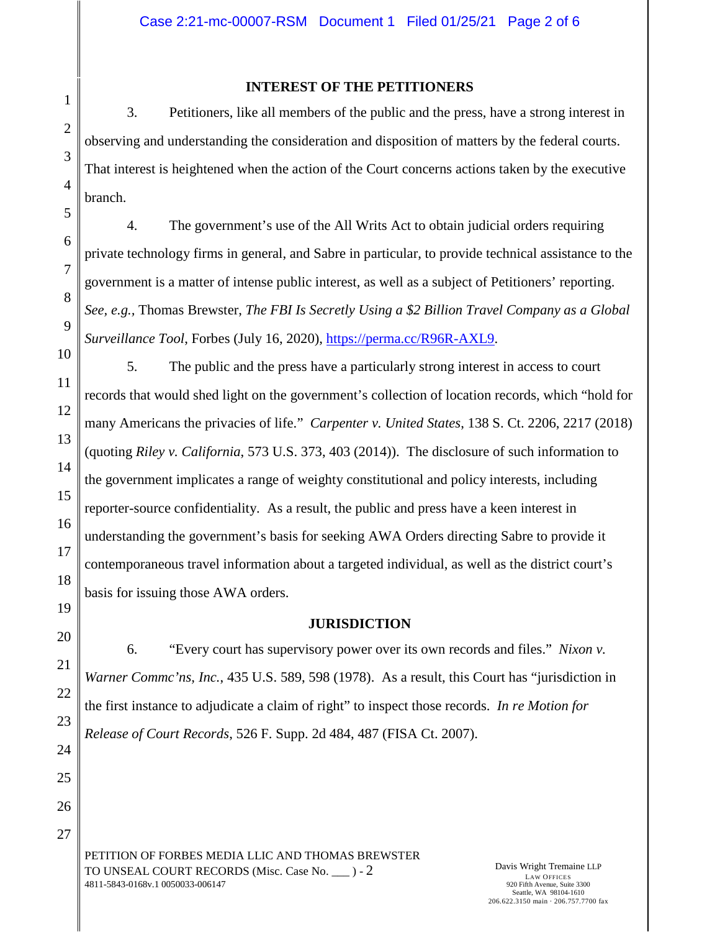## **INTEREST OF THE PETITIONERS**

3. Petitioners, like all members of the public and the press, have a strong interest in observing and understanding the consideration and disposition of matters by the federal courts. That interest is heightened when the action of the Court concerns actions taken by the executive branch.

4. The government's use of the All Writs Act to obtain judicial orders requiring private technology firms in general, and Sabre in particular, to provide technical assistance to the government is a matter of intense public interest, as well as a subject of Petitioners' reporting. *See, e.g.,* Thomas Brewster, *The FBI Is Secretly Using a \$2 Billion Travel Company as a Global Surveillance Tool*, Forbes (July 16, 2020), [https://perma.cc/R96R-AXL9.](https://perma.cc/R96R-AXL9)

5. The public and the press have a particularly strong interest in access to court records that would shed light on the government's collection of location records, which "hold for many Americans the privacies of life." *Carpenter v. United States*, 138 S. Ct. 2206, 2217 (2018) (quoting *Riley v. California*, 573 U.S. 373, 403 (2014)). The disclosure of such information to the government implicates a range of weighty constitutional and policy interests, including reporter-source confidentiality. As a result, the public and press have a keen interest in understanding the government's basis for seeking AWA Orders directing Sabre to provide it contemporaneous travel information about a targeted individual, as well as the district court's basis for issuing those AWA orders.

## **JURISDICTION**

6. "Every court has supervisory power over its own records and files." *Nixon v. Warner Commc'ns, Inc.*, 435 U.S. 589, 598 (1978). As a result, this Court has "jurisdiction in the first instance to adjudicate a claim of right" to inspect those records. *In re Motion for Release of Court Records*, 526 F. Supp. 2d 484, 487 (FISA Ct. 2007).

PETITION OF FORBES MEDIA LLIC AND THOMAS BREWSTER TO UNSEAL COURT RECORDS (Misc. Case No. \_\_\_ ) - 2 4811-5843-0168v.1 0050033-006147

Davis Wright Tremaine LLP LAW OFFICES 920 Fifth Avenue, Suite 3300 Seattle, WA 98104-1610 206.622.3150 main · 206.757.7700 fax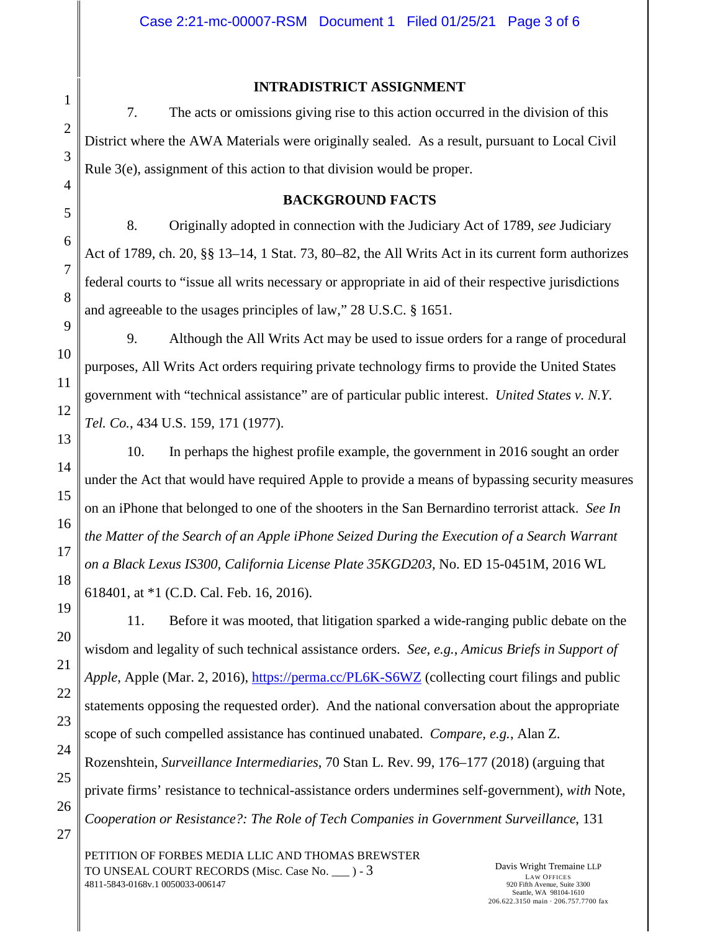## **INTRADISTRICT ASSIGNMENT**

7. The acts or omissions giving rise to this action occurred in the division of this District where the AWA Materials were originally sealed. As a result, pursuant to Local Civil Rule 3(e), assignment of this action to that division would be proper.

## **BACKGROUND FACTS**

8. Originally adopted in connection with the Judiciary Act of 1789, *see* Judiciary Act of 1789, ch. 20, §§ 13–14, 1 Stat. 73, 80–82, the All Writs Act in its current form authorizes federal courts to "issue all writs necessary or appropriate in aid of their respective jurisdictions and agreeable to the usages principles of law," 28 U.S.C. § 1651.

9. Although the All Writs Act may be used to issue orders for a range of procedural purposes, All Writs Act orders requiring private technology firms to provide the United States government with "technical assistance" are of particular public interest. *United States v. N.Y. Tel. Co.*, 434 U.S. 159, 171 (1977).

10. In perhaps the highest profile example, the government in 2016 sought an order under the Act that would have required Apple to provide a means of bypassing security measures on an iPhone that belonged to one of the shooters in the San Bernardino terrorist attack. *See In the Matter of the Search of an Apple iPhone Seized During the Execution of a Search Warrant on a Black Lexus IS300, California License Plate 35KGD203*, No. ED 15-0451M, 2016 WL 618401, at \*1 (C.D. Cal. Feb. 16, 2016).

11. Before it was mooted, that litigation sparked a wide-ranging public debate on the wisdom and legality of such technical assistance orders. *See, e.g.*, *Amicus Briefs in Support of Apple*, Apple (Mar. 2, 2016),<https://perma.cc/PL6K-S6WZ>(collecting court filings and public statements opposing the requested order). And the national conversation about the appropriate scope of such compelled assistance has continued unabated. *Compare, e.g.*, Alan Z. Rozenshtein, *Surveillance Intermediaries*, 70 Stan L. Rev. 99, 176–177 (2018) (arguing that private firms' resistance to technical-assistance orders undermines self-government), *with* Note, *Cooperation or Resistance?: The Role of Tech Companies in Government Surveillance*, 131

PETITION OF FORBES MEDIA LLIC AND THOMAS BREWSTER TO UNSEAL COURT RECORDS (Misc. Case No. \_\_\_ ) - 3 4811-5843-0168v.1 0050033-006147

Davis Wright Tremaine LLP LAW OFFICES 920 Fifth Avenue, Suite 3300 Seattle, WA 98104-1610 206.622.3150 main · 206.757.7700 fax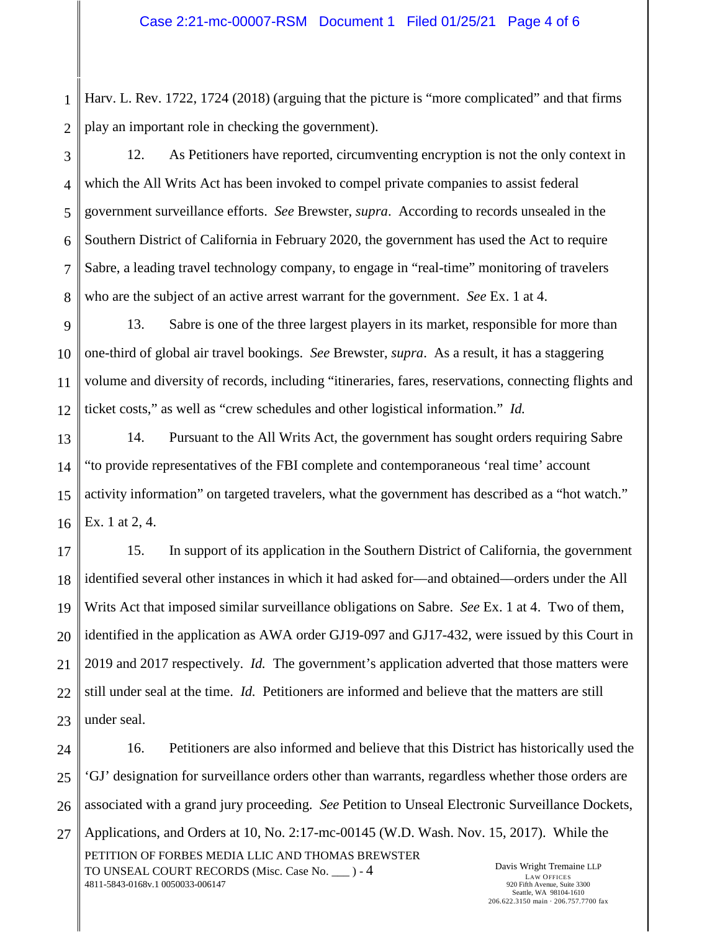1 2 Harv. L. Rev. 1722, 1724 (2018) (arguing that the picture is "more complicated" and that firms play an important role in checking the government).

3 4 5 6 7 8 12. As Petitioners have reported, circumventing encryption is not the only context in which the All Writs Act has been invoked to compel private companies to assist federal government surveillance efforts. *See* Brewster, *supra*. According to records unsealed in the Southern District of California in February 2020, the government has used the Act to require Sabre, a leading travel technology company, to engage in "real-time" monitoring of travelers who are the subject of an active arrest warrant for the government. *See* Ex. 1 at 4.

9 10 11 12 13. Sabre is one of the three largest players in its market, responsible for more than one-third of global air travel bookings. *See* Brewster, *supra*. As a result, it has a staggering volume and diversity of records, including "itineraries, fares, reservations, connecting flights and ticket costs," as well as "crew schedules and other logistical information." *Id.*

13 14 15 16 14. Pursuant to the All Writs Act, the government has sought orders requiring Sabre "to provide representatives of the FBI complete and contemporaneous 'real time' account activity information" on targeted travelers, what the government has described as a "hot watch." Ex. 1 at 2, 4.

17 18 19 20 21 22 23 15. In support of its application in the Southern District of California, the government identified several other instances in which it had asked for––and obtained––orders under the All Writs Act that imposed similar surveillance obligations on Sabre. *See* Ex. 1 at 4. Two of them, identified in the application as AWA order GJ19-097 and GJ17-432, were issued by this Court in 2019 and 2017 respectively. *Id.* The government's application adverted that those matters were still under seal at the time. *Id.* Petitioners are informed and believe that the matters are still under seal.

24 25 26 27 16. Petitioners are also informed and believe that this District has historically used the 'GJ' designation for surveillance orders other than warrants, regardless whether those orders are associated with a grand jury proceeding. *See* Petition to Unseal Electronic Surveillance Dockets, Applications, and Orders at 10, No. 2:17-mc-00145 (W.D. Wash. Nov. 15, 2017). While the

PETITION OF FORBES MEDIA LLIC AND THOMAS BREWSTER TO UNSEAL COURT RECORDS (Misc. Case No. \_\_\_ ) - 4 4811-5843-0168v.1 0050033-006147

Davis Wright Tremaine LLP LAW OFFICES 920 Fifth Avenue, Suite 3300 Seattle, WA 98104-1610 206.622.3150 main · 206.757.7700 fax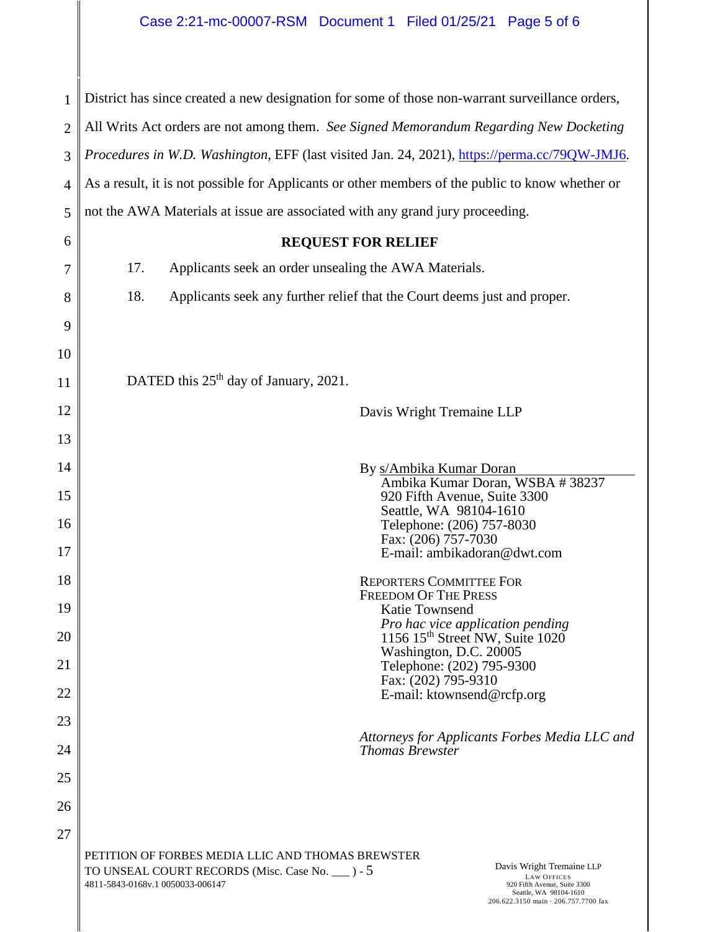| 1              | District has since created a new designation for some of those non-warrant surveillance orders,                                                                                                                                                                                                 |  |  |  |
|----------------|-------------------------------------------------------------------------------------------------------------------------------------------------------------------------------------------------------------------------------------------------------------------------------------------------|--|--|--|
| $\overline{2}$ | All Writs Act orders are not among them. See Signed Memorandum Regarding New Docketing                                                                                                                                                                                                          |  |  |  |
| 3              | Procedures in W.D. Washington, EFF (last visited Jan. 24, 2021), https://perma.cc/79QW-JMJ6.                                                                                                                                                                                                    |  |  |  |
| $\overline{4}$ | As a result, it is not possible for Applicants or other members of the public to know whether or                                                                                                                                                                                                |  |  |  |
| 5              | not the AWA Materials at issue are associated with any grand jury proceeding.                                                                                                                                                                                                                   |  |  |  |
| 6              | <b>REQUEST FOR RELIEF</b>                                                                                                                                                                                                                                                                       |  |  |  |
| 7              | 17.<br>Applicants seek an order unsealing the AWA Materials.                                                                                                                                                                                                                                    |  |  |  |
| 8              | 18.<br>Applicants seek any further relief that the Court deems just and proper.                                                                                                                                                                                                                 |  |  |  |
| 9              |                                                                                                                                                                                                                                                                                                 |  |  |  |
| 10             |                                                                                                                                                                                                                                                                                                 |  |  |  |
| 11             | DATED this 25 <sup>th</sup> day of January, 2021.                                                                                                                                                                                                                                               |  |  |  |
| 12             | Davis Wright Tremaine LLP                                                                                                                                                                                                                                                                       |  |  |  |
| 13             |                                                                                                                                                                                                                                                                                                 |  |  |  |
| 14             | By s/Ambika Kumar Doran                                                                                                                                                                                                                                                                         |  |  |  |
| 15             | Ambika Kumar Doran, WSBA #38237<br>920 Fifth Avenue, Suite 3300                                                                                                                                                                                                                                 |  |  |  |
| 16             | Seattle, WA 98104-1610<br>Telephone: (206) 757-8030<br>Fax: (206) 757-7030                                                                                                                                                                                                                      |  |  |  |
| 17             | E-mail: ambikadoran@dwt.com                                                                                                                                                                                                                                                                     |  |  |  |
| 18             | <b>REPORTERS COMMITTEE FOR</b><br><b>FREEDOM OF THE PRESS</b>                                                                                                                                                                                                                                   |  |  |  |
| 19             | Katie Townsend                                                                                                                                                                                                                                                                                  |  |  |  |
| 20             | Pro hac vice application pending<br>1156 15 <sup>th</sup> Street NW, Suite 1020<br>Washington, D.C. 20005                                                                                                                                                                                       |  |  |  |
| 21             | Telephone: (202) 795-9300<br>Fax: (202) 795-9310                                                                                                                                                                                                                                                |  |  |  |
| 22             | E-mail: ktownsend@rcfp.org                                                                                                                                                                                                                                                                      |  |  |  |
| 23             | Attorneys for Applicants Forbes Media LLC and                                                                                                                                                                                                                                                   |  |  |  |
| 24             | <b>Thomas Brewster</b>                                                                                                                                                                                                                                                                          |  |  |  |
| 25             |                                                                                                                                                                                                                                                                                                 |  |  |  |
| 26             |                                                                                                                                                                                                                                                                                                 |  |  |  |
| 27             |                                                                                                                                                                                                                                                                                                 |  |  |  |
|                | PETITION OF FORBES MEDIA LLIC AND THOMAS BREWSTER<br>Davis Wright Tremaine LLP<br>TO UNSEAL COURT RECORDS (Misc. Case No. ___ ) - 5<br><b>LAW OFFICES</b><br>4811-5843-0168v.1 0050033-006147<br>920 Fifth Avenue, Suite 3300<br>Seattle, WA 98104-1610<br>206.622.3150 main · 206.757.7700 fax |  |  |  |